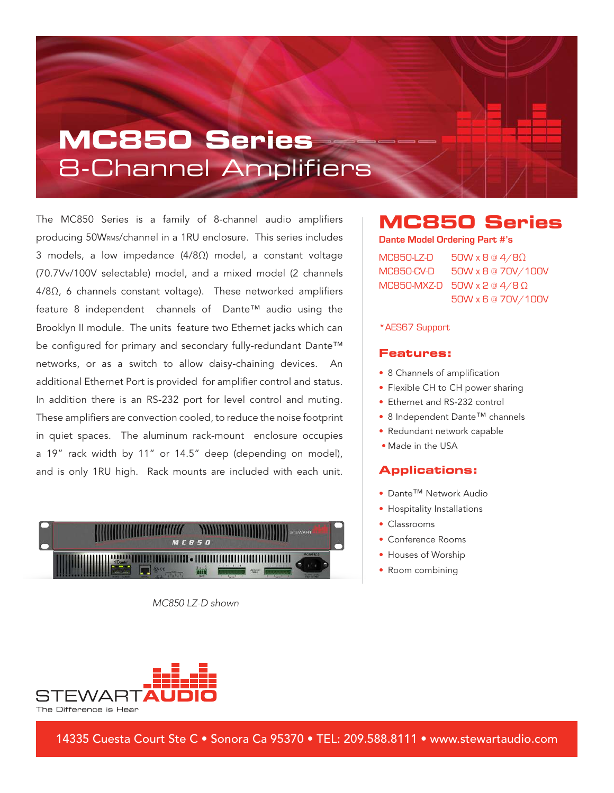## **MC850 Series** 8-Channel Amplifiers

The MC850 Series is a family of 8-channel audio amplifiers producing 50WRMS/channel in a 1RU enclosure. This series includes 3 models, a low impedance (4/8Ω) model, a constant voltage (70.7Vv/100V selectable) model, and a mixed model (2 channels 4/8Ω, 6 channels constant voltage). These networked amplifiers feature 8 independent channels of Dante™ audio using the Brooklyn II module. The units feature two Ethernet jacks which can be configured for primary and secondary fully-redundant Dante™ networks, or as a switch to allow daisy-chaining devices. An additional Ethernet Port is provided for amplifier control and status. In addition there is an RS-232 port for level control and muting. These amplifiers are convection cooled, to reduce the noise footprint in quiet spaces. The aluminum rack-mount enclosure occupies a 19" rack width by 11" or 14.5" deep (depending on model), and is only 1RU high. Rack mounts are included with each unit.



MC850 LZ-D shown

### **MC850 Series**

**Dante Model Ordering Part #'s**

MC850-LZ-D 50W x 8 @ 4/8Ω MC850-CV-D 50W x 8 @ 70V/100V MC850-MXZ-D 50W x 2 @ 4/8  $\Omega$ 50W x 6 @ 70V/100V

#### \*AES67 Support

#### **Features:**

- 8 Channels of amplification
- Flexible CH to CH power sharing
- Ethernet and RS-232 control
- 8 Independent Dante™ channels
- Redundant network capable
- Made in the USA

#### **Applications:**

- Dante™ Network Audio
- Hospitality Installations
- Classrooms
- Conference Rooms
- Houses of Worship
- Room combining



14335 Cuesta Court Ste C • Sonora Ca 95370 • TEL: 209.588.8111 • www.stewartaudio.com